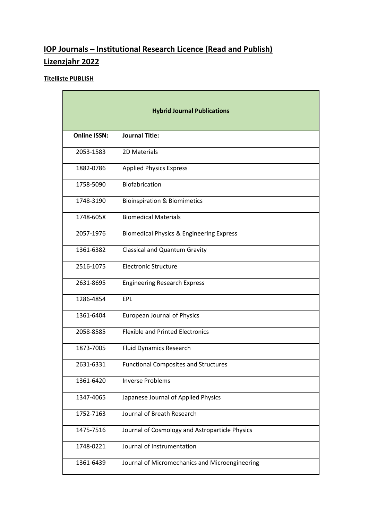## **IOP Journals – Institutional Research Licence (Read and Publish) Lizenzjahr 2022**

## **Titelliste PUBLISH**

| <b>Hybrid Journal Publications</b> |                                                     |  |
|------------------------------------|-----------------------------------------------------|--|
| <b>Online ISSN:</b>                | <b>Journal Title:</b>                               |  |
| 2053-1583                          | 2D Materials                                        |  |
| 1882-0786                          | <b>Applied Physics Express</b>                      |  |
| 1758-5090                          | Biofabrication                                      |  |
| 1748-3190                          | <b>Bioinspiration &amp; Biomimetics</b>             |  |
| 1748-605X                          | <b>Biomedical Materials</b>                         |  |
| 2057-1976                          | <b>Biomedical Physics &amp; Engineering Express</b> |  |
| 1361-6382                          | <b>Classical and Quantum Gravity</b>                |  |
| 2516-1075                          | <b>Electronic Structure</b>                         |  |
| 2631-8695                          | <b>Engineering Research Express</b>                 |  |
| 1286-4854                          | EPL                                                 |  |
| 1361-6404                          | <b>European Journal of Physics</b>                  |  |
| 2058-8585                          | <b>Flexible and Printed Electronics</b>             |  |
| 1873-7005                          | <b>Fluid Dynamics Research</b>                      |  |
| 2631-6331                          | <b>Functional Composites and Structures</b>         |  |
| 1361-6420                          | <b>Inverse Problems</b>                             |  |
| 1347-4065                          | Japanese Journal of Applied Physics                 |  |
| 1752-7163                          | Journal of Breath Research                          |  |
| 1475-7516                          | Journal of Cosmology and Astroparticle Physics      |  |
| 1748-0221                          | Journal of Instrumentation                          |  |
| 1361-6439                          | Journal of Micromechanics and Microengineering      |  |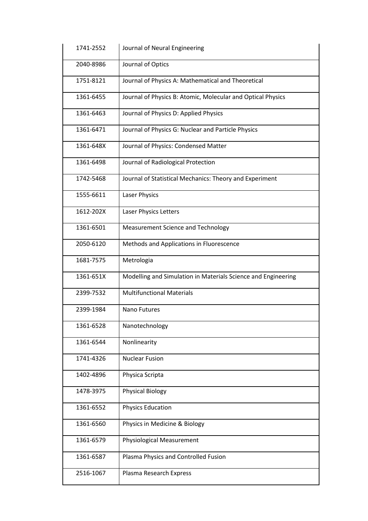| 1741-2552 | Journal of Neural Engineering                                 |
|-----------|---------------------------------------------------------------|
| 2040-8986 | Journal of Optics                                             |
| 1751-8121 | Journal of Physics A: Mathematical and Theoretical            |
| 1361-6455 | Journal of Physics B: Atomic, Molecular and Optical Physics   |
| 1361-6463 | Journal of Physics D: Applied Physics                         |
| 1361-6471 | Journal of Physics G: Nuclear and Particle Physics            |
| 1361-648X | Journal of Physics: Condensed Matter                          |
| 1361-6498 | Journal of Radiological Protection                            |
| 1742-5468 | Journal of Statistical Mechanics: Theory and Experiment       |
| 1555-6611 | Laser Physics                                                 |
| 1612-202X | Laser Physics Letters                                         |
| 1361-6501 | <b>Measurement Science and Technology</b>                     |
| 2050-6120 | Methods and Applications in Fluorescence                      |
| 1681-7575 | Metrologia                                                    |
| 1361-651X | Modelling and Simulation in Materials Science and Engineering |
| 2399-7532 | <b>Multifunctional Materials</b>                              |
| 2399-1984 | Nano Futures                                                  |
| 1361-6528 | Nanotechnology                                                |
| 1361-6544 | Nonlinearity                                                  |
| 1741-4326 | <b>Nuclear Fusion</b>                                         |
| 1402-4896 | Physica Scripta                                               |
| 1478-3975 | <b>Physical Biology</b>                                       |
| 1361-6552 | <b>Physics Education</b>                                      |
| 1361-6560 | Physics in Medicine & Biology                                 |
| 1361-6579 | <b>Physiological Measurement</b>                              |
| 1361-6587 | Plasma Physics and Controlled Fusion                          |
| 2516-1067 | Plasma Research Express                                       |